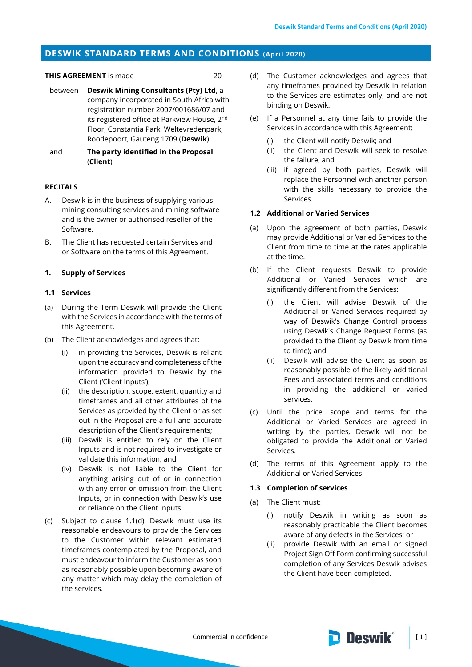# **DESWIK STANDARD TERMS AND CONDITIONS (April 2020)**

#### **THIS AGREEMENT** is made 20

- between **Deswik Mining Consultants (Pty) Ltd**, a company incorporated in South Africa with registration number 2007/001686/07 and its registered office at Parkview House, 2<sup>nd</sup> Floor, Constantia Park, Weltevredenpark, Roodepoort, Gauteng 1709 (**Deswik**)
- and **The party identified in the Proposal**  (**Client**)

# **RECITALS**

- A. Deswik is in the business of supplying various mining consulting services and mining software and is the owner or authorised reseller of the Software.
- B. The Client has requested certain Services and or Software on the terms of this Agreement.

### **1. Supply of Services**

### **1.1 Services**

- (a) During the Term Deswik will provide the Client with the Services in accordance with the terms of this Agreement.
- (b) The Client acknowledges and agrees that:
	- (i) in providing the Services, Deswik is reliant upon the accuracy and completeness of the information provided to Deswik by the Client ('Client Inputs');
	- (ii) the description, scope, extent, quantity and timeframes and all other attributes of the Services as provided by the Client or as set out in the Proposal are a full and accurate description of the Client's requirements;
	- (iii) Deswik is entitled to rely on the Client Inputs and is not required to investigate or validate this information; and
	- (iv) Deswik is not liable to the Client for anything arising out of or in connection with any error or omission from the Client Inputs, or in connection with Deswik's use or reliance on the Client Inputs.
- (c) Subject to clause [1.1\(d\),](#page-0-0) Deswik must use its reasonable endeavours to provide the Services to the Customer within relevant estimated timeframes contemplated by the Proposal, and must endeavour to inform the Customer as soon as reasonably possible upon becoming aware of any matter which may delay the completion of the services.
- <span id="page-0-0"></span>(d) The Customer acknowledges and agrees that any timeframes provided by Deswik in relation to the Services are estimates only, and are not binding on Deswik.
- (e) If a Personnel at any time fails to provide the Services in accordance with this Agreement:
	- (i) the Client will notify Deswik; and
	- (ii) the Client and Deswik will seek to resolve the failure; and
	- (iii) if agreed by both parties, Deswik will replace the Personnel with another person with the skills necessary to provide the Services.

# **1.2 Additional or Varied Services**

- (a) Upon the agreement of both parties, Deswik may provide Additional or Varied Services to the Client from time to time at the rates applicable at the time.
- (b) If the Client requests Deswik to provide Additional or Varied Services which are significantly different from the Services:
	- (i) the Client will advise Deswik of the Additional or Varied Services required by way of Deswik's Change Control process using Deswik's Change Request Forms (as provided to the Client by Deswik from time to time); and
	- (ii) Deswik will advise the Client as soon as reasonably possible of the likely additional Fees and associated terms and conditions in providing the additional or varied services.
- (c) Until the price, scope and terms for the Additional or Varied Services are agreed in writing by the parties, Deswik will not be obligated to provide the Additional or Varied Services.
- (d) The terms of this Agreement apply to the Additional or Varied Services.

#### **1.3 Completion of services**

- <span id="page-0-1"></span>(a) The Client must:
	- (i) notify Deswik in writing as soon as reasonably practicable the Client becomes aware of any defects in the Services; or
	- (ii) provide Deswik with an email or signed Project Sign Off Form confirming successful completion of any Services Deswik advises the Client have been completed.

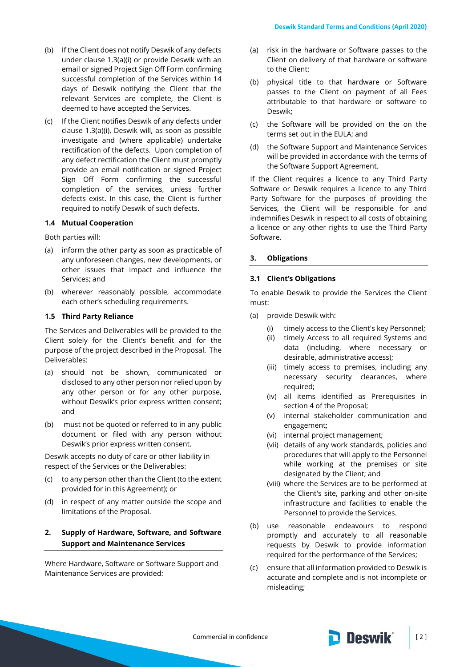- (b) If the Client does not notify Deswik of any defects under clause [1.3\(a\)\(i\)](#page-0-1) or provide Deswik with an email or signed Project Sign Off Form confirming successful completion of the Services within 14 days of Deswik notifying the Client that the relevant Services are complete, the Client is deemed to have accepted the Services.
- (c) If the Client notifies Deswik of any defects under clause [1.3\(a\)\(i\),](#page-0-1) Deswik will, as soon as possible investigate and (where applicable) undertake rectification of the defects. Upon completion of any defect rectification the Client must promptly provide an email notification or signed Project Sign Off Form confirming the successful completion of the services, unless further defects exist. In this case, the Client is further required to notify Deswik of such defects.

## **1.4 Mutual Cooperation**

Both parties will:

- (a) inform the other party as soon as practicable of any unforeseen changes, new developments, or other issues that impact and influence the Services; and
- (b) wherever reasonably possible, accommodate each other's scheduling requirements.

# **1.5 Third Party Reliance**

The Services and Deliverables will be provided to the Client solely for the Client's benefit and for the purpose of the project described in the Proposal. The Deliverables:

- (a) should not be shown, communicated or disclosed to any other person nor relied upon by any other person or for any other purpose, without Deswik's prior express written consent; and
- (b) must not be quoted or referred to in any public document or filed with any person without Deswik's prior express written consent.

Deswik accepts no duty of care or other liability in respect of the Services or the Deliverables:

- (c) to any person other than the Client (to the extent provided for in this Agreement); or
- (d) in respect of any matter outside the scope and limitations of the Proposal.

# **2. Supply of Hardware, Software, and Software Support and Maintenance Services**

Where Hardware, Software or Software Support and Maintenance Services are provided:

- (a) risk in the hardware or Software passes to the Client on delivery of that hardware or software to the Client;
- (b) physical title to that hardware or Software passes to the Client on payment of all Fees attributable to that hardware or software to Deswik;
- (c) the Software will be provided on the on the terms set out in the EULA; and
- (d) the Software Support and Maintenance Services will be provided in accordance with the terms of the Software Support Agreement.

If the Client requires a licence to any Third Party Software or Deswik requires a licence to any Third Party Software for the purposes of providing the Services, the Client will be responsible for and indemnifies Deswik in respect to all costs of obtaining a licence or any other rights to use the Third Party Software.

### **3. Obligations**

#### <span id="page-1-0"></span>**3.1 Client's Obligations**

To enable Deswik to provide the Services the Client must:

- (a) provide Deswik with:
	- (i) timely access to the Client's key Personnel;
	- (ii) timely Access to all required Systems and data (including, where necessary or desirable, administrative access);
	- (iii) timely access to premises, including any necessary security clearances, where required;
	- (iv) all items identified as Prerequisites in section 4 of the Proposal;
	- (v) internal stakeholder communication and engagement;
	- (vi) internal project management;
	- (vii) details of any work standards, policies and procedures that will apply to the Personnel while working at the premises or site designated by the Client; and
	- (viii) where the Services are to be performed at the Client's site, parking and other on-site infrastructure and facilities to enable the Personnel to provide the Services.
- (b) use reasonable endeavours to respond promptly and accurately to all reasonable requests by Deswik to provide information required for the performance of the Services;
- (c) ensure that all information provided to Deswik is accurate and complete and is not incomplete or misleading;

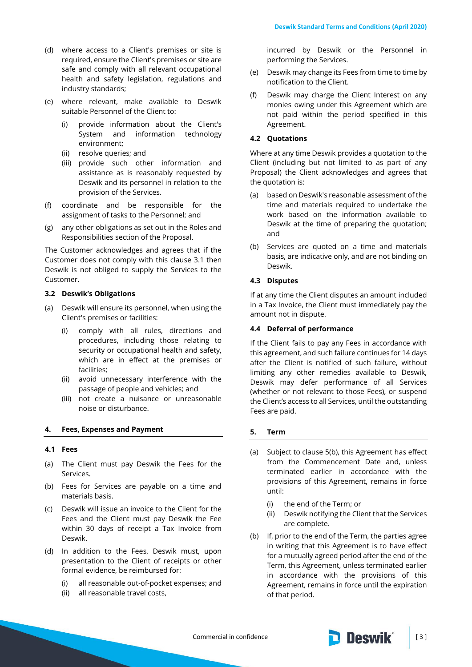- (d) where access to a Client's premises or site is required, ensure the Client's premises or site are safe and comply with all relevant occupational health and safety legislation, regulations and industry standards;
- (e) where relevant, make available to Deswik suitable Personnel of the Client to:
	- (i) provide information about the Client's System and information technology environment;
	- (ii) resolve queries; and
	- (iii) provide such other information and assistance as is reasonably requested by Deswik and its personnel in relation to the provision of the Services.
- (f) coordinate and be responsible for the assignment of tasks to the Personnel; and
- (g) any other obligations as set out in the Roles and Responsibilities section of the Proposal.

The Customer acknowledges and agrees that if the Customer does not comply with this clause [3.1](#page-1-0) then Deswik is not obliged to supply the Services to the Customer.

### **3.2 Deswik's Obligations**

- (a) Deswik will ensure its personnel, when using the Client's premises or facilities:
	- (i) comply with all rules, directions and procedures, including those relating to security or occupational health and safety, which are in effect at the premises or facilities;
	- (ii) avoid unnecessary interference with the passage of people and vehicles; and
	- (iii) not create a nuisance or unreasonable noise or disturbance.

### **4. Fees, Expenses and Payment**

#### **4.1 Fees**

- (a) The Client must pay Deswik the Fees for the Services.
- (b) Fees for Services are payable on a time and materials basis.
- (c) Deswik will issue an invoice to the Client for the Fees and the Client must pay Deswik the Fee within 30 days of receipt a Tax Invoice from Deswik.
- (d) In addition to the Fees, Deswik must, upon presentation to the Client of receipts or other formal evidence, be reimbursed for:
	- (i) all reasonable out-of-pocket expenses; and
	- (ii) all reasonable travel costs,

incurred by Deswik or the Personnel in performing the Services.

- (e) Deswik may change its Fees from time to time by notification to the Client.
- Deswik may charge the Client Interest on any monies owing under this Agreement which are not paid within the period specified in this Agreement.

### **4.2 Quotations**

Where at any time Deswik provides a quotation to the Client (including but not limited to as part of any Proposal) the Client acknowledges and agrees that the quotation is:

- (a) based on Deswik's reasonable assessment of the time and materials required to undertake the work based on the information available to Deswik at the time of preparing the quotation; and
- (b) Services are quoted on a time and materials basis, are indicative only, and are not binding on Deswik.

# **4.3 Disputes**

If at any time the Client disputes an amount included in a Tax Invoice, the Client must immediately pay the amount not in dispute.

### **4.4 Deferral of performance**

If the Client fails to pay any Fees in accordance with this agreement, and such failure continues for 14 days after the Client is notified of such failure, without limiting any other remedies available to Deswik, Deswik may defer performance of all Services (whether or not relevant to those Fees), or suspend the Client's access to all Services, until the outstanding Fees are paid.

#### **5. Term**

- (a) Subject to clause [5\(b\),](#page-2-0) this Agreement has effect from the Commencement Date and, unless terminated earlier in accordance with the provisions of this Agreement, remains in force until:
	- (i) the end of the Term; or
	- (ii) Deswik notifying the Client that the Services are complete.
- <span id="page-2-0"></span>(b) If, prior to the end of the Term, the parties agree in writing that this Agreement is to have effect for a mutually agreed period after the end of the Term, this Agreement, unless terminated earlier in accordance with the provisions of this Agreement, remains in force until the expiration of that period.

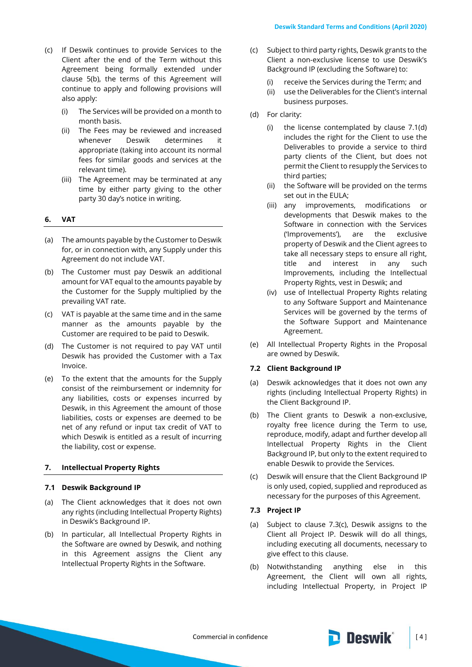- <span id="page-3-0"></span>(c) If Deswik continues to provide Services to the Client after the end of the Term without this Agreement being formally extended under clause [5\(b\),](#page-2-0) the terms of this Agreement will continue to apply and following provisions will also apply:
	- (i) The Services will be provided on a month to month basis.
	- (ii) The Fees may be reviewed and increased whenever Deswik determines it appropriate (taking into account its normal fees for similar goods and services at the relevant time).
	- (iii) The Agreement may be terminated at any time by either party giving to the other party 30 day's notice in writing.

### **6. VAT**

- (a) The amounts payable by the Customer to Deswik for, or in connection with, any Supply under this Agreement do not include VAT.
- (b) The Customer must pay Deswik an additional amount for VAT equal to the amounts payable by the Customer for the Supply multiplied by the prevailing VAT rate.
- (c) VAT is payable at the same time and in the same manner as the amounts payable by the Customer are required to be paid to Deswik.
- (d) The Customer is not required to pay VAT until Deswik has provided the Customer with a Tax Invoice.
- (e) To the extent that the amounts for the Supply consist of the reimbursement or indemnity for any liabilities, costs or expenses incurred by Deswik, in this Agreement the amount of those liabilities, costs or expenses are deemed to be net of any refund or input tax credit of VAT to which Deswik is entitled as a result of incurring the liability, cost or expense.

# **7. Intellectual Property Rights**

# **7.1 Deswik Background IP**

- (a) The Client acknowledges that it does not own any rights (including Intellectual Property Rights) in Deswik's Background IP.
- (b) In particular, all Intellectual Property Rights in the Software are owned by Deswik, and nothing in this Agreement assigns the Client any Intellectual Property Rights in the Software.
- (c) Subject to third party rights, Deswik grants to the Client a non-exclusive license to use Deswik's Background IP (excluding the Software) to:
	- (i) receive the Services during the Term; and
	- (ii) use the Deliverables for the Client's internal business purposes.
- (d) For clarity:
	- (i) the license contemplated by clause 7.1(d) includes the right for the Client to use the Deliverables to provide a service to third party clients of the Client, but does not permit the Client to resupply the Services to third parties;
	- (ii) the Software will be provided on the terms set out in the EULA;
	- (iii) any improvements, modifications or developments that Deswik makes to the Software in connection with the Services ('Improvements'), are the exclusive property of Deswik and the Client agrees to take all necessary steps to ensure all right, title and interest in any such Improvements, including the Intellectual Property Rights, vest in Deswik; and
	- (iv) use of Intellectual Property Rights relating to any Software Support and Maintenance Services will be governed by the terms of the Software Support and Maintenance Agreement.
- (e) All Intellectual Property Rights in the Proposal are owned by Deswik.

#### **7.2 Client Background IP**

- (a) Deswik acknowledges that it does not own any rights (including Intellectual Property Rights) in the Client Background IP.
- (b) The Client grants to Deswik a non-exclusive, royalty free licence during the Term to use, reproduce, modify, adapt and further develop all Intellectual Property Rights in the Client Background IP, but only to the extent required to enable Deswik to provide the Services.
- (c) Deswik will ensure that the Client Background IP is only used, copied, supplied and reproduced as necessary for the purposes of this Agreement.

### **7.3 Project IP**

- (a) Subject to clause 7.3(c), Deswik assigns to the Client all Project IP. Deswik will do all things, including executing all documents, necessary to give effect to this clause.
- (b) Notwithstanding anything else in this Agreement, the Client will own all rights, including Intellectual Property, in Project IP

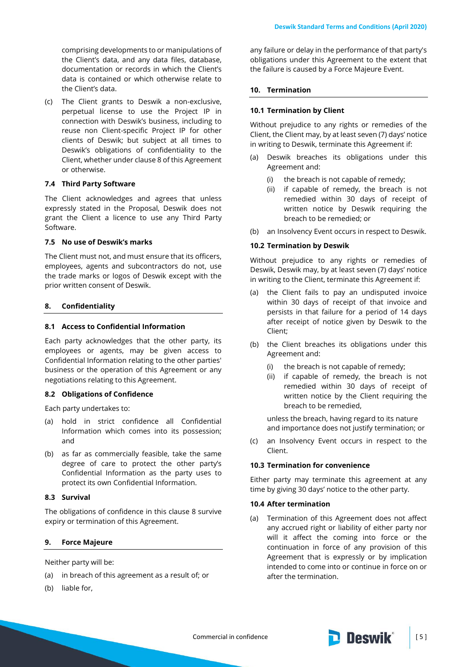comprising developments to or manipulations of the Client's data, and any data files, database, documentation or records in which the Client's data is contained or which otherwise relate to the Client's data.

(c) The Client grants to Deswik a non-exclusive, perpetual license to use the Project IP in connection with Deswik's business, including to reuse non Client-specific Project IP for other clients of Deswik; but subject at all times to Deswik's obligations of confidentiality to the Client, whether under clause 8 of this Agreement or otherwise.

### **7.4 Third Party Software**

The Client acknowledges and agrees that unless expressly stated in the Proposal, Deswik does not grant the Client a licence to use any Third Party Software.

### **7.5 No use of Deswik's marks**

The Client must not, and must ensure that its officers, employees, agents and subcontractors do not, use the trade marks or logos of Deswik except with the prior written consent of Deswik.

#### <span id="page-4-0"></span>**8. Confidentiality**

### **8.1 Access to Confidential Information**

Each party acknowledges that the other party, its employees or agents, may be given access to Confidential Information relating to the other parties' business or the operation of this Agreement or any negotiations relating to this Agreement.

### **8.2 Obligations of Confidence**

Each party undertakes to:

- (a) hold in strict confidence all Confidential Information which comes into its possession; and
- (b) as far as commercially feasible, take the same degree of care to protect the other party's Confidential Information as the party uses to protect its own Confidential Information.

### **8.3 Survival**

The obligations of confidence in this clause [8](#page-4-0) survive expiry or termination of this Agreement.

## **9. Force Majeure**

Neither party will be:

- (a) in breach of this agreement as a result of; or
- (b) liable for,

any failure or delay in the performance of that party's obligations under this Agreement to the extent that the failure is caused by a Force Majeure Event.

## **10. Termination**

#### **10.1 Termination by Client**

Without prejudice to any rights or remedies of the Client, the Client may, by at least seven (7) days' notice in writing to Deswik, terminate this Agreement if:

- (a) Deswik breaches its obligations under this Agreement and:
	- (i) the breach is not capable of remedy;
	- (ii) if capable of remedy, the breach is not remedied within 30 days of receipt of written notice by Deswik requiring the breach to be remedied; or
- (b) an Insolvency Event occurs in respect to Deswik.

#### **10.2 Termination by Deswik**

Without prejudice to any rights or remedies of Deswik, Deswik may, by at least seven (7) days' notice in writing to the Client, terminate this Agreement if:

- (a) the Client fails to pay an undisputed invoice within 30 days of receipt of that invoice and persists in that failure for a period of 14 days after receipt of notice given by Deswik to the Client;
- (b) the Client breaches its obligations under this Agreement and:
	- (i) the breach is not capable of remedy;
	- (ii) if capable of remedy, the breach is not remedied within 30 days of receipt of written notice by the Client requiring the breach to be remedied,

unless the breach, having regard to its nature and importance does not justify termination; or

(c) an Insolvency Event occurs in respect to the Client.

## **10.3 Termination for convenience**

Either party may terminate this agreement at any time by giving 30 days' notice to the other party.

#### **10.4 After termination**

(a) Termination of this Agreement does not affect any accrued right or liability of either party nor will it affect the coming into force or the continuation in force of any provision of this Agreement that is expressly or by implication intended to come into or continue in force on or after the termination.

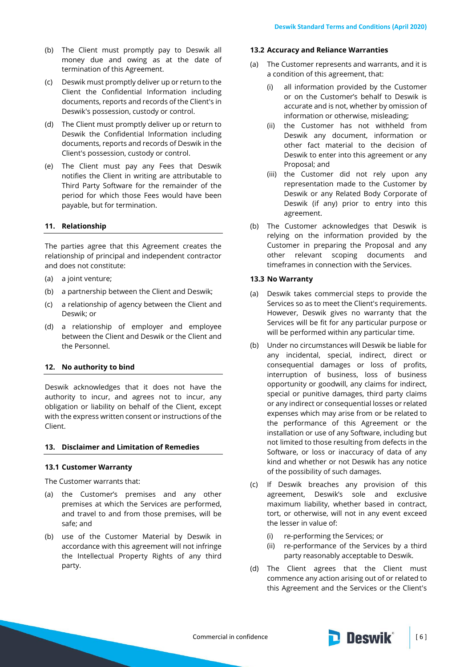- (b) The Client must promptly pay to Deswik all money due and owing as at the date of termination of this Agreement.
- (c) Deswik must promptly deliver up or return to the Client the Confidential Information including documents, reports and records of the Client's in Deswik's possession, custody or control.
- (d) The Client must promptly deliver up or return to Deswik the Confidential Information including documents, reports and records of Deswik in the Client's possession, custody or control.
- (e) The Client must pay any Fees that Deswik notifies the Client in writing are attributable to Third Party Software for the remainder of the period for which those Fees would have been payable, but for termination.

### **11. Relationship**

The parties agree that this Agreement creates the relationship of principal and independent contractor and does not constitute:

- (a) a joint venture;
- (b) a partnership between the Client and Deswik;
- (c) a relationship of agency between the Client and Deswik; or
- (d) a relationship of employer and employee between the Client and Deswik or the Client and the Personnel.

## **12. No authority to bind**

Deswik acknowledges that it does not have the authority to incur, and agrees not to incur, any obligation or liability on behalf of the Client, except with the express written consent or instructions of the Client.

### **13. Disclaimer and Limitation of Remedies**

### **13.1 Customer Warranty**

The Customer warrants that:

- (a) the Customer's premises and any other premises at which the Services are performed, and travel to and from those premises, will be safe; and
- (b) use of the Customer Material by Deswik in accordance with this agreement will not infringe the Intellectual Property Rights of any third party.

#### **13.2 Accuracy and Reliance Warranties**

- (a) The Customer represents and warrants, and it is a condition of this agreement, that:
	- (i) all information provided by the Customer or on the Customer's behalf to Deswik is accurate and is not, whether by omission of information or otherwise, misleading;
	- (ii) the Customer has not withheld from Deswik any document, information or other fact material to the decision of Deswik to enter into this agreement or any Proposal; and
	- (iii) the Customer did not rely upon any representation made to the Customer by Deswik or any Related Body Corporate of Deswik (if any) prior to entry into this agreement.
- (b) The Customer acknowledges that Deswik is relying on the information provided by the Customer in preparing the Proposal and any other relevant scoping documents and timeframes in connection with the Services.

#### **13.3 No Warranty**

- (a) Deswik takes commercial steps to provide the Services so as to meet the Client's requirements. However, Deswik gives no warranty that the Services will be fit for any particular purpose or will be performed within any particular time.
- (b) Under no circumstances will Deswik be liable for any incidental, special, indirect, direct or consequential damages or loss of profits, interruption of business, loss of business opportunity or goodwill, any claims for indirect, special or punitive damages, third party claims or any indirect or consequential losses or related expenses which may arise from or be related to the performance of this Agreement or the installation or use of any Software, including but not limited to those resulting from defects in the Software, or loss or inaccuracy of data of any kind and whether or not Deswik has any notice of the possibility of such damages.
- (c) If Deswik breaches any provision of this agreement, Deswik's sole and exclusive maximum liability, whether based in contract, tort, or otherwise, will not in any event exceed the lesser in value of:
	- (i) re-performing the Services; or
	- (ii) re-performance of the Services by a third party reasonably acceptable to Deswik.
- (d) The Client agrees that the Client must commence any action arising out of or related to this Agreement and the Services or the Client's

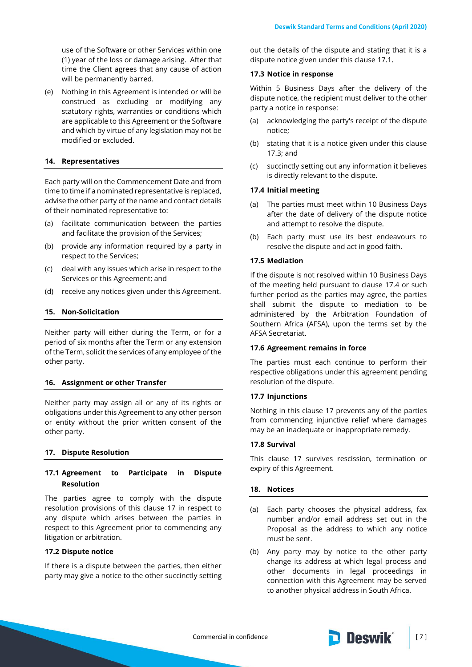use of the Software or other Services within one (1) year of the loss or damage arising. After that time the Client agrees that any cause of action will be permanently barred.

(e) Nothing in this Agreement is intended or will be construed as excluding or modifying any statutory rights, warranties or conditions which are applicable to this Agreement or the Software and which by virtue of any legislation may not be modified or excluded.

### **14. Representatives**

Each party will on the Commencement Date and from time to time if a nominated representative is replaced, advise the other party of the name and contact details of their nominated representative to:

- (a) facilitate communication between the parties and facilitate the provision of the Services;
- (b) provide any information required by a party in respect to the Services;
- (c) deal with any issues which arise in respect to the Services or this Agreement; and
- (d) receive any notices given under this Agreement.

### **15. Non-Solicitation**

Neither party will either during the Term, or for a period of six months after the Term or any extension of the Term, solicit the services of any employee of the other party.

#### **16. Assignment or other Transfer**

Neither party may assign all or any of its rights or obligations under this Agreement to any other person or entity without the prior written consent of the other party.

#### <span id="page-6-0"></span>**17. Dispute Resolution**

## <span id="page-6-1"></span>**17.1 Agreement to Participate in Dispute Resolution**

The parties agree to comply with the dispute resolution provisions of this clause [17](#page-6-0) in respect to any dispute which arises between the parties in respect to this Agreement prior to commencing any litigation or arbitration.

# **17.2 Dispute notice**

If there is a dispute between the parties, then either party may give a notice to the other succinctly setting

out the details of the dispute and stating that it is a dispute notice given under this clause [17.1.](#page-6-1)

### <span id="page-6-2"></span>**17.3 Notice in response**

Within 5 Business Days after the delivery of the dispute notice, the recipient must deliver to the other party a notice in response:

- (a) acknowledging the party's receipt of the dispute notice;
- (b) stating that it is a notice given under this clause [17.3;](#page-6-2) and
- (c) succinctly setting out any information it believes is directly relevant to the dispute.

## <span id="page-6-3"></span>**17.4 Initial meeting**

- (a) The parties must meet within 10 Business Days after the date of delivery of the dispute notice and attempt to resolve the dispute.
- (b) Each party must use its best endeavours to resolve the dispute and act in good faith.

### **17.5 Mediation**

If the dispute is not resolved within 10 Business Days of the meeting held pursuant to clause [17.4](#page-6-3) or such further period as the parties may agree, the parties shall submit the dispute to mediation to be administered by the Arbitration Foundation of Southern Africa (AFSA), upon the terms set by the AFSA Secretariat.

### **17.6 Agreement remains in force**

The parties must each continue to perform their respective obligations under this agreement pending resolution of the dispute.

### **17.7 Injunctions**

Nothing in this clause [17](#page-6-0) prevents any of the parties from commencing injunctive relief where damages may be an inadequate or inappropriate remedy.

## **17.8 Survival**

This clause [17](#page-6-0) survives rescission, termination or expiry of this Agreement.

#### <span id="page-6-4"></span>**18. Notices**

- <span id="page-6-5"></span>(a) Each party chooses the physical address, fax number and/or email address set out in the Proposal as the address to which any notice must be sent.
- (b) Any party may by notice to the other party change its address at which legal process and other documents in legal proceedings in connection with this Agreement may be served to another physical address in South Africa.

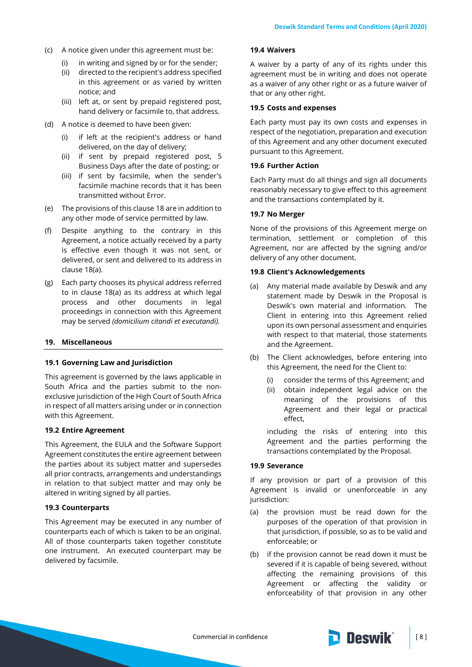- (c) A notice given under this agreement must be:
	- (i) in writing and signed by or for the sender;
	- (ii) directed to the recipient's address specified in this agreement or as varied by written notice; and
	- (iii) left at, or sent by prepaid registered post, hand delivery or facsimile to, that address.
- (d) A notice is deemed to have been given:
	- (i) if left at the recipient's address or hand delivered, on the day of delivery;
	- (ii) if sent by prepaid registered post, 5 Business Days after the date of posting; or
	- (iii) if sent by facsimile, when the sender's facsimile machine records that it has been transmitted without Error.
- (e) The provisions of this clause [18](#page-6-4) are in addition to any other mode of service permitted by law.
- (f) Despite anything to the contrary in this Agreement, a notice actually received by a party is effective even though it was not sent, or delivered, or sent and delivered to its address in claus[e 18\(a\).](#page-6-5)
- (g) Each party chooses its physical address referred to in clause [18\(a\)](#page-6-5) as its address at which legal process and other documents in legal proceedings in connection with this Agreement may be served *(domicilium citandi et executandi).*

# **19. Miscellaneous**

### **19.1 Governing Law and Jurisdiction**

This agreement is governed by the laws applicable in South Africa and the parties submit to the nonexclusive jurisdiction of the High Court of South Africa in respect of all matters arising under or in connection with this Agreement.

### **19.2 Entire Agreement**

This Agreement, the EULA and the Software Support Agreement constitutes the entire agreement between the parties about its subject matter and supersedes all prior contracts, arrangements and understandings in relation to that subject matter and may only be altered in writing signed by all parties.

# **19.3 Counterparts**

This Agreement may be executed in any number of counterparts each of which is taken to be an original. All of those counterparts taken together constitute one instrument. An executed counterpart may be delivered by facsimile.

# **19.4 Waivers**

A waiver by a party of any of its rights under this agreement must be in writing and does not operate as a waiver of any other right or as a future waiver of that or any other right.

#### **19.5 Costs and expenses**

Each party must pay its own costs and expenses in respect of the negotiation, preparation and execution of this Agreement and any other document executed pursuant to this Agreement.

#### **19.6 Further Action**

Each Party must do all things and sign all documents reasonably necessary to give effect to this agreement and the transactions contemplated by it.

### **19.7 No Merger**

None of the provisions of this Agreement merge on termination, settlement or completion of this Agreement, nor are affected by the signing and/or delivery of any other document.

#### **19.8 Client's Acknowledgements**

- (a) Any material made available by Deswik and any statement made by Deswik in the Proposal is Deswik's own material and information. The Client in entering into this Agreement relied upon its own personal assessment and enquiries with respect to that material, those statements and the Agreement.
- (b) The Client acknowledges, before entering into this Agreement, the need for the Client to:
	- (i) consider the terms of this Agreement; and
	- (ii) obtain independent legal advice on the meaning of the provisions of this Agreement and their legal or practical effect,

including the risks of entering into this Agreement and the parties performing the transactions contemplated by the Proposal.

## **19.9 Severance**

If any provision or part of a provision of this Agreement is invalid or unenforceable in any jurisdiction:

- (a) the provision must be read down for the purposes of the operation of that provision in that jurisdiction, if possible, so as to be valid and enforceable; or
- (b) if the provision cannot be read down it must be severed if it is capable of being severed, without affecting the remaining provisions of this Agreement or affecting the validity or enforceability of that provision in any other

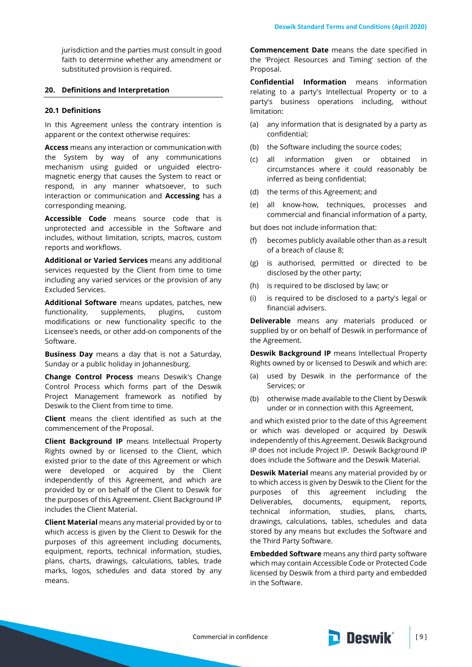jurisdiction and the parties must consult in good faith to determine whether any amendment or substituted provision is required.

# **20. Definitions and Interpretation**

#### **20.1 Definitions**

In this Agreement unless the contrary intention is apparent or the context otherwise requires:

**Access** means any interaction or communication with the System by way of any communications mechanism using guided or unguided electromagnetic energy that causes the System to react or respond, in any manner whatsoever, to such interaction or communication and **Accessing** has a corresponding meaning.

**Accessible Code** means source code that is unprotected and accessible in the Software and includes, without limitation, scripts, macros, custom reports and workflows.

**Additional or Varied Services** means any additional services requested by the Client from time to time including any varied services or the provision of any Excluded Services.

**Additional Software** means updates, patches, new functionality, supplements, plugins, custom modifications or new functionality specific to the Licensee's needs, or other add-on components of the Software.

**Business Day** means a day that is not a Saturday, Sunday or a public holiday in Johannesburg.

**Change Control Process** means Deswik's Change Control Process which forms part of the Deswik Project Management framework as notified by Deswik to the Client from time to time.

**Client** means the client identified as such at the commencement of the Proposal.

**Client Background IP** means Intellectual Property Rights owned by or licensed to the Client, which existed prior to the date of this Agreement or which were developed or acquired by the Client independently of this Agreement, and which are provided by or on behalf of the Client to Deswik for the purposes of this Agreement. Client Background IP includes the Client Material.

**Client Material** means any material provided by or to which access is given by the Client to Deswik for the purposes of this agreement including documents, equipment, reports, technical information, studies, plans, charts, drawings, calculations, tables, trade marks, logos, schedules and data stored by any means.

**Commencement Date** means the date specified in the 'Project Resources and Timing' section of the Proposal.

**Confidential Information** means information relating to a party's Intellectual Property or to a party's business operations including, without limitation:

- (a) any information that is designated by a party as confidential;
- (b) the Software including the source codes;
- (c) all information given or obtained in circumstances where it could reasonably be inferred as being confidential;
- (d) the terms of this Agreement; and
- (e) all know-how, techniques, processes and commercial and financial information of a party,

but does not include information that:

- (f) becomes publicly available other than as a result of a breach of clause [8;](#page-4-0)
- (g) is authorised, permitted or directed to be disclosed by the other party;
- (h) is required to be disclosed by law; or
- (i) is required to be disclosed to a party's legal or financial advisers.

**Deliverable** means any materials produced or supplied by or on behalf of Deswik in performance of the Agreement.

**Deswik Background IP** means Intellectual Property Rights owned by or licensed to Deswik and which are:

- (a) used by Deswik in the performance of the Services; or
- (b) otherwise made available to the Client by Deswik under or in connection with this Agreement,

and which existed prior to the date of this Agreement or which was developed or acquired by Deswik independently of this Agreement. Deswik Background IP does not include Project IP. Deswik Background IP does include the Software and the Deswik Material.

**Deswik Material** means any material provided by or to which access is given by Deswik to the Client for the purposes of this agreement including the Deliverables, documents, equipment, reports, technical information, studies, plans, charts, drawings, calculations, tables, schedules and data stored by any means but excludes the Software and the Third Party Software.

**Embedded Software** means any third party software which may contain Accessible Code or Protected Code licensed by Deswik from a third party and embedded in the Software.

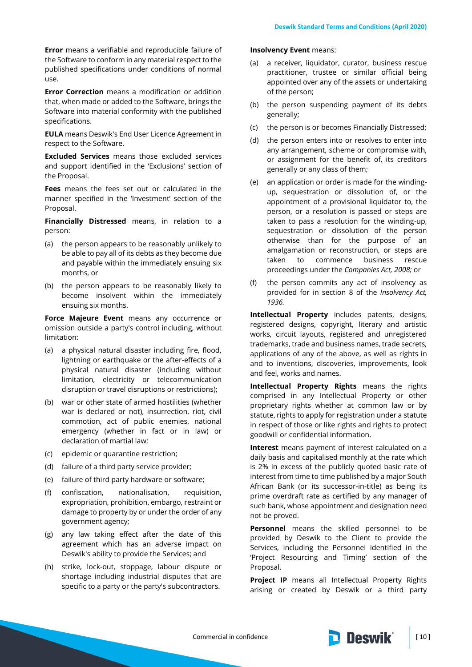**Error** means a verifiable and reproducible failure of the Software to conform in any material respect to the published specifications under conditions of normal use.

**Error Correction** means a modification or addition that, when made or added to the Software, brings the Software into material conformity with the published specifications.

**EULA** means Deswik's End User Licence Agreement in respect to the Software.

**Excluded Services** means those excluded services and support identified in the 'Exclusions' section of the Proposal.

**Fees** means the fees set out or calculated in the manner specified in the 'Investment' section of the Proposal.

**Financially Distressed** means, in relation to a person:

- (a) the person appears to be reasonably unlikely to be able to pay all of its debts as they become due and payable within the immediately ensuing six months, or
- (b) the person appears to be reasonably likely to become insolvent within the immediately ensuing six months.

**Force Majeure Event** means any occurrence or omission outside a party's control including, without limitation:

- (a) a physical natural disaster including fire, flood, lightning or earthquake or the after-effects of a physical natural disaster (including without limitation, electricity or telecommunication disruption or travel disruptions or restrictions);
- (b) war or other state of armed hostilities (whether war is declared or not), insurrection, riot, civil commotion, act of public enemies, national emergency (whether in fact or in law) or declaration of martial law;
- (c) epidemic or quarantine restriction;
- (d) failure of a third party service provider;
- (e) failure of third party hardware or software;
- (f) confiscation, nationalisation, requisition, expropriation, prohibition, embargo, restraint or damage to property by or under the order of any government agency;
- (g) any law taking effect after the date of this agreement which has an adverse impact on Deswik's ability to provide the Services; and
- (h) strike, lock-out, stoppage, labour dispute or shortage including industrial disputes that are specific to a party or the party's subcontractors.

### **Insolvency Event** means:

- (a) a receiver, liquidator, curator, business rescue practitioner, trustee or similar official being appointed over any of the assets or undertaking of the person;
- (b) the person suspending payment of its debts generally;
- (c) the person is or becomes Financially Distressed;
- (d) the person enters into or resolves to enter into any arrangement, scheme or compromise with, or assignment for the benefit of, its creditors generally or any class of them;
- (e) an application or order is made for the windingup, sequestration or dissolution of, or the appointment of a provisional liquidator to, the person, or a resolution is passed or steps are taken to pass a resolution for the winding-up, sequestration or dissolution of the person otherwise than for the purpose of an amalgamation or reconstruction, or steps are taken to commence business rescue proceedings under the *Companies Act, 2008;* or
- (f) the person commits any act of insolvency as provided for in section 8 of the *Insolvency Act, 1936.*

**Intellectual Property** includes patents, designs, registered designs, copyright, literary and artistic works, circuit layouts, registered and unregistered trademarks, trade and business names, trade secrets, applications of any of the above, as well as rights in and to inventions, discoveries, improvements, look and feel, works and names.

**Intellectual Property Rights** means the rights comprised in any Intellectual Property or other proprietary rights whether at common law or by statute, rights to apply for registration under a statute in respect of those or like rights and rights to protect goodwill or confidential information.

**Interest** means payment of interest calculated on a daily basis and capitalised monthly at the rate which is 2% in excess of the publicly quoted basic rate of interest from time to time published by a major South African Bank (or its successor-in-title) as being its prime overdraft rate as certified by any manager of such bank, whose appointment and designation need not be proved.

**Personnel** means the skilled personnel to be provided by Deswik to the Client to provide the Services, including the Personnel identified in the 'Project Resourcing and Timing' section of the Proposal.

**Project IP** means all Intellectual Property Rights arising or created by Deswik or a third party